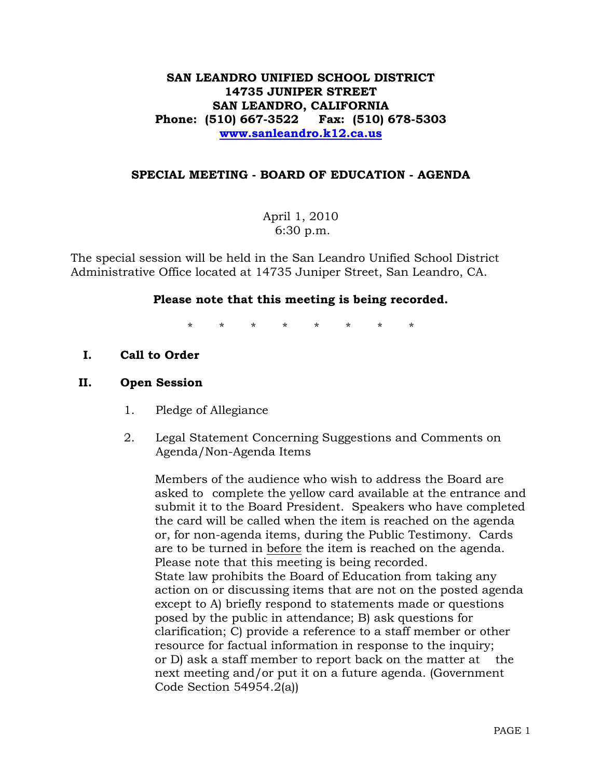### **SAN LEANDRO UNIFIED SCHOOL DISTRICT 14735 JUNIPER STREET SAN LEANDRO, CALIFORNIA Phone: (510) 667-3522 Fax: (510) 678-5303 [www.sanleandro.k12.ca.us](http://www.sanleandro.k12.ca.us/)**

### **SPECIAL MEETING - BOARD OF EDUCATION - AGENDA**

April 1, 2010 6:30 p.m.

The special session will be held in the San Leandro Unified School District Administrative Office located at 14735 Juniper Street, San Leandro, CA.

### **Please note that this meeting is being recorded.**

\* \* \* \* \* \* \* \*

**I. Call to Order** 

### **II. Open Session**

- 1. Pledge of Allegiance
- 2. Legal Statement Concerning Suggestions and Comments on Agenda/Non-Agenda Items

 Members of the audience who wish to address the Board are asked to complete the yellow card available at the entrance and submit it to the Board President. Speakers who have completed the card will be called when the item is reached on the agenda or, for non-agenda items, during the Public Testimony. Cards are to be turned in before the item is reached on the agenda. Please note that this meeting is being recorded. State law prohibits the Board of Education from taking any action on or discussing items that are not on the posted agenda except to A) briefly respond to statements made or questions posed by the public in attendance; B) ask questions for clarification; C) provide a reference to a staff member or other resource for factual information in response to the inquiry; or D) ask a staff member to report back on the matter at the next meeting and/or put it on a future agenda. (Government Code Section 54954.2(a))